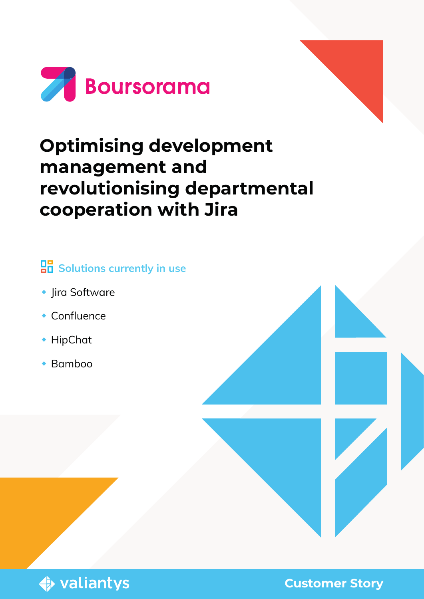

# **Optimising development management and revolutionising departmental cooperation with Jira**

### **Bolutions currently in use**

- ◆ Jira Software
- Confluence
- ◆ HipChat
- Bamboo

**♦ valiantys** 

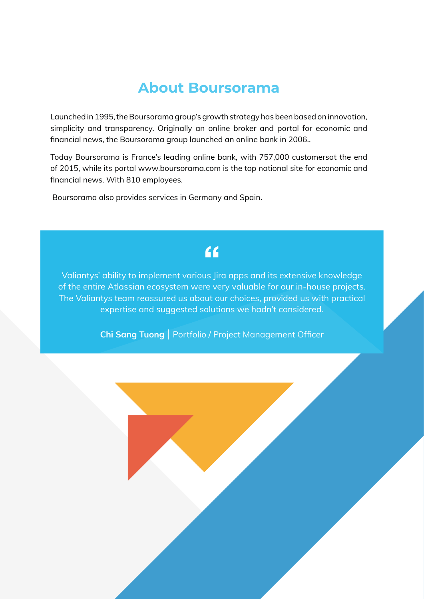### **About Boursorama**

Launched in 1995, the Boursorama group's growth strategy has been based on innovation, simplicity and transparency. Originally an online broker and portal for economic and financial news, the Boursorama group launched an online bank in 2006..

Today Boursorama is France's leading online bank, with 757,000 customersat the end of 2015, while its portal www.boursorama.com is the top national site for economic and financial news. With 810 employees.

Boursorama also provides services in Germany and Spain.

### $f$

Valiantys' ability to implement various Jira apps and its extensive knowledge of the entire Atlassian ecosystem were very valuable for our in-house projects. The Valiantys team reassured us about our choices, provided us with practical expertise and suggested solutions we hadn't considered.

Chi Sang Tuong | Portfolio / Project Management Officer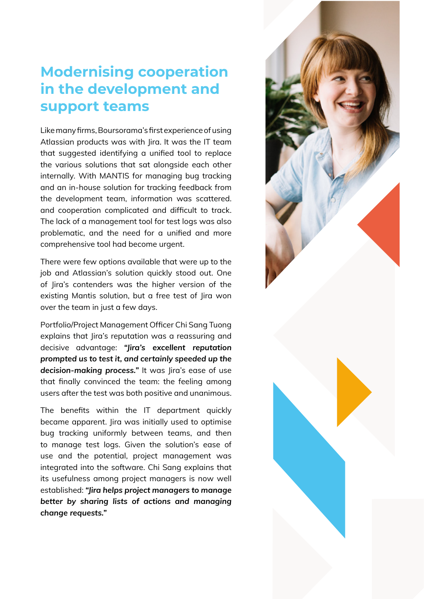### **Modernising cooperation in the development and support teams**

Like many firms, Boursorama's first experience of using Atlassian products was with Jira. It was the IT team that suggested identifying a unified tool to replace the various solutions that sat alongside each other internally. With MANTIS for managing bug tracking and an in-house solution for tracking feedback from the development team, information was scattered. and cooperation complicated and difficult to track. The lack of a management tool for test logs was also problematic, and the need for a unified and more comprehensive tool had become urgent.

There were few options available that were up to the job and Atlassian's solution quickly stood out. One of Jira's contenders was the higher version of the existing Mantis solution, but a free test of Jira won over the team in just a few days.

Portfolio/Project Management Officer Chi Sang Tuong explains that Jira's reputation was a reassuring and decisive advantage: *"Jira's excellent reputation prompted us to test it, and certainly speeded up the decision-making process."* It was Jira's ease of use that finally convinced the team: the feeling among users after the test was both positive and unanimous.

The benefits within the IT department quickly became apparent. Jira was initially used to optimise bug tracking uniformly between teams, and then to manage test logs. Given the solution's ease of use and the potential, project management was integrated into the software. Chi Sang explains that its usefulness among project managers is now well established: *"Jira helps project managers to manage better by sharing lists of actions and managing change requests."*

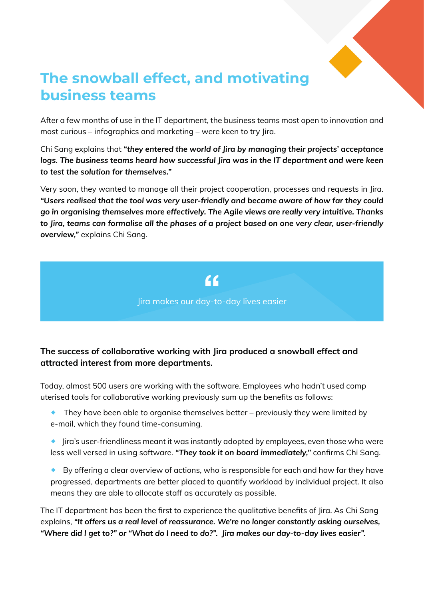

## **The snowball effect, and motivating business teams**

After a few months of use in the IT department, the business teams most open to innovation and most curious – infographics and marketing – were keen to try Jira.

Chi Sang explains that *"they entered the world of Jira by managing their projects' acceptance logs. The business teams heard how successful Jira was in the IT department and were keen to test the solution for themselves."*

Very soon, they wanted to manage all their project cooperation, processes and requests in Jira. *"Users realised that the tool was very user-friendly and became aware of how far they could go in organising themselves more effectively. The Agile views are really very intuitive. Thanks to Jira, teams can formalise all the phases of a project based on one very clear, user-friendly overview,"* explains Chi Sang.

> $66$ Jira makes our day-to-day lives easier

#### The success of collaborative working with Jira produced a snowball effect and attracted interest from more departments.

Today, almost 500 users are working with the software. Employees who hadn't used comp uterised tools for collaborative working previously sum up the benefits as follows:

- $\bullet$  They have been able to organise themselves better previously they were limited by e-mail, which they found time-consuming.
- ® Jira's user-friendliness meant it was instantly adopted by employees, even those who were less well versed in using software. *"They took it on board immediately,"* confirms Chi Sang.
- $\bullet$  By offering a clear overview of actions, who is responsible for each and how far they have progressed, departments are better placed to quantify workload by individual project. It also means they are able to allocate staff as accurately as possible.

The IT department has been the first to experience the qualitative benefits of Jira. As Chi Sang explains, *"It offers us a real level of reassurance. We're no longer constantly asking ourselves, "Where did I get to?" or "What do I need to do?". Jira makes our day-to-day lives easier".*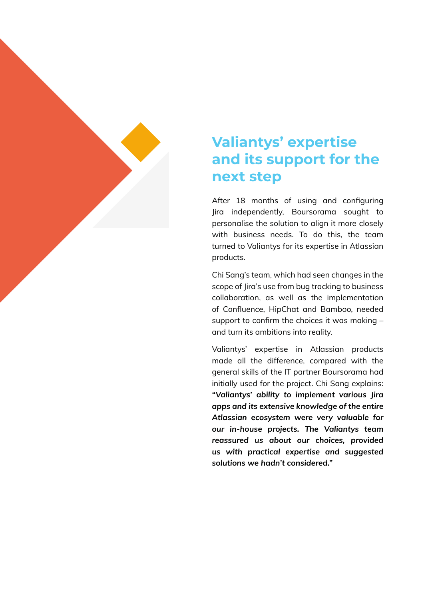## **Valiantys' expertise and its support for the next step**

After 18 months of using and configuring Jira independently, Boursorama sought to personalise the solution to align it more closely with business needs. To do this, the team turned to Valiantys for its expertise in Atlassian products.

Chi Sang's team, which had seen changes in the scope of Jira's use from bug tracking to business collaboration, as well as the implementation of Confluence, HipChat and Bamboo, needed support to confirm the choices it was making – and turn its ambitions into reality.

Valiantys' expertise in Atlassian products made all the difference, compared with the general skills of the IT partner Boursorama had initially used for the project. Chi Sang explains: *"Valiantys' ability to implement various Jira apps and its extensive knowledge of the entire Atlassian ecosystem were very valuable for our in-house projects. The Valiantys team reassured us about our choices, provided us with practical expertise and suggested solutions we hadn't considered."*